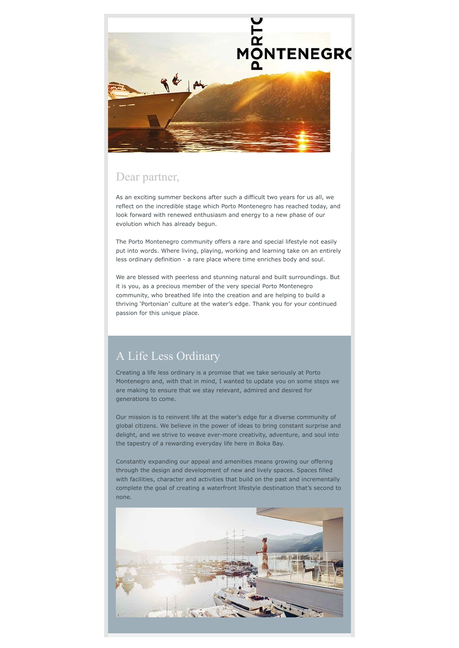

#### Dear partner,

As an exciting summer beckons after such a difficult two years for us all, we reflect on the incredible stage which Porto Montenegro has reached today, and look forward with renewed enthusiasm and energy to a new phase of our evolution which has already begun.

The Porto Montenegro community offers a rare and special lifestyle not easily put into words. Where living, playing, working and learning take on an entirely less ordinary definition - a rare place where time enriches body and soul.

We are blessed with peerless and stunning natural and built surroundings. But it is you, as a precious member of the very special Porto Montenegro community, who breathed life into the creation and are helping to build a thriving 'Portonian' culture at the water's edge. Thank you for your continued passion for this unique place.

# A Life Less Ordinary

Creating a life less ordinary is a promise that we take seriously at Porto Montenegro and, with that in mind, I wanted to update you on some steps we are making to ensure that we stay relevant, admired and desired for generations to come.

Our mission is to reinvent life at the water's edge for a diverse community of global citizens. We believe in the power of ideas to bring constant surprise and delight, and we strive to weave ever-more creativity, adventure, and soul into the tapestry of a rewarding everyday life here in Boka Bay.

Constantly expanding our appeal and amenities means growing our offering through the design and development of new and lively spaces. Spaces filled with facilities, character and activities that build on the past and incrementally complete the goal of creating a waterfront lifestyle destination that's second to none.

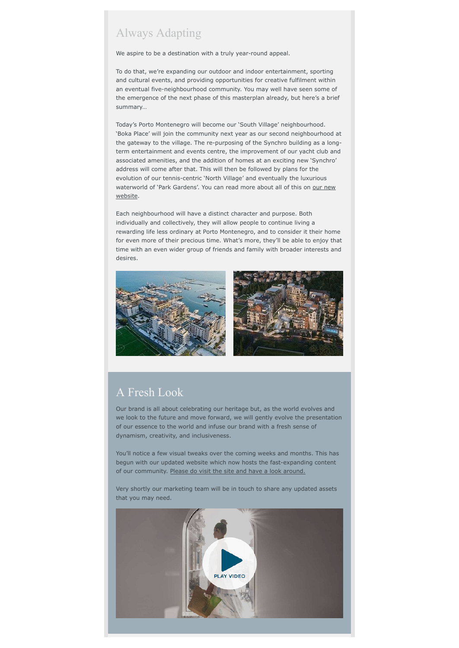## Always Adapting

We aspire to be a destination with a truly year-round appeal.

To do that, we're expanding our outdoor and indoor entertainment, sporting and cultural events, and providing opportunities for creative fulfilment within an eventual five-neighbourhood community. You may well have seen some of the emergence of the next phase of this masterplan already, but here's a brief summary…

Today's Porto Montenegro will become our 'South Village' neighbourhood. 'Boka Place' will join the community next year as our second neighbourhood at the gateway to the village. The re-purposing of the Synchro building as a longterm entertainment and events centre, the improvement of our yacht club and associated amenities, and the addition of homes at an exciting new 'Synchro' address will come after that. This will then be followed by plans for the evolution of our tennis-centric 'North Village' and eventually the luxurious [waterworld of 'Park Gardens'. You can read more about all of this on](https://www.portomontenegro.com/) our new website.

Each neighbourhood will have a distinct character and purpose. Both individually and collectively, they will allow people to continue living a rewarding life less ordinary at Porto Montenegro, and to consider it their home for even more of their precious time. What's more, they'll be able to enjoy that time with an even wider group of friends and family with broader interests and desires.



## A Fresh Look

Our brand is all about celebrating our heritage but, as the world evolves and we look to the future and move forward, we will gently evolve the presentation of our essence to the world and infuse our brand with a fresh sense of dynamism, creativity, and inclusiveness.

You'll notice a few visual tweaks over the coming weeks and months. This has begun with our updated website which now hosts the fast-expanding content of our community. [Please do visit the site and have a look around.](https://www.portomontenegro.com/)

Very shortly our marketing team will be in touch to share any updated assets that you may need.